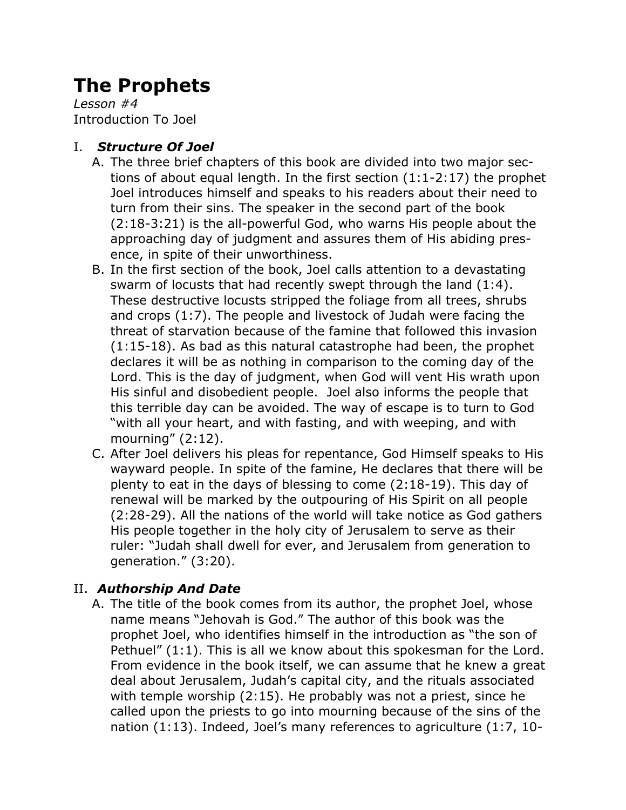# **The Prophets**

*Lesson #4* Introduction To Joel

### I. *Structure Of Joel*

- A. The three brief chapters of this book are divided into two major sections of about equal length. In the first section (1:1-2:17) the prophet Joel introduces himself and speaks to his readers about their need to turn from their sins. The speaker in the second part of the book (2:18-3:21) is the all-powerful God, who warns His people about the approaching day of judgment and assures them of His abiding presence, in spite of their unworthiness.
- B. In the first section of the book, Joel calls attention to a devastating swarm of locusts that had recently swept through the land (1:4). These destructive locusts stripped the foliage from all trees, shrubs and crops (1:7). The people and livestock of Judah were facing the threat of starvation because of the famine that followed this invasion (1:15-18). As bad as this natural catastrophe had been, the prophet declares it will be as nothing in comparison to the coming day of the Lord. This is the day of judgment, when God will vent His wrath upon His sinful and disobedient people. Joel also informs the people that this terrible day can be avoided. The way of escape is to turn to God "with all your heart, and with fasting, and with weeping, and with mourning" (2:12).
- C. After Joel delivers his pleas for repentance, God Himself speaks to His wayward people. In spite of the famine, He declares that there will be plenty to eat in the days of blessing to come (2:18-19). This day of renewal will be marked by the outpouring of His Spirit on all people (2:28-29). All the nations of the world will take notice as God gathers His people together in the holy city of Jerusalem to serve as their ruler: "Judah shall dwell for ever, and Jerusalem from generation to generation." (3:20).

## II. *Authorship And Date*

A. The title of the book comes from its author, the prophet Joel, whose name means "Jehovah is God." The author of this book was the prophet Joel, who identifies himself in the introduction as "the son of Pethuel" (1:1). This is all we know about this spokesman for the Lord. From evidence in the book itself, we can assume that he knew a great deal about Jerusalem, Judah's capital city, and the rituals associated with temple worship (2:15). He probably was not a priest, since he called upon the priests to go into mourning because of the sins of the nation (1:13). Indeed, Joel's many references to agriculture (1:7, 10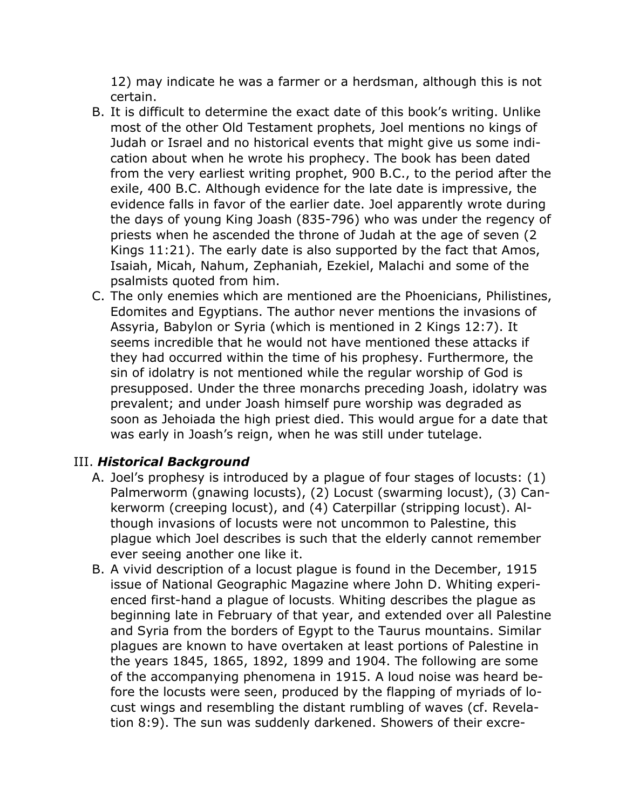12) may indicate he was a farmer or a herdsman, although this is not certain.

- B. It is difficult to determine the exact date of this book's writing. Unlike most of the other Old Testament prophets, Joel mentions no kings of Judah or Israel and no historical events that might give us some indication about when he wrote his prophecy. The book has been dated from the very earliest writing prophet, 900 B.C., to the period after the exile, 400 B.C. Although evidence for the late date is impressive, the evidence falls in favor of the earlier date. Joel apparently wrote during the days of young King Joash (835-796) who was under the regency of priests when he ascended the throne of Judah at the age of seven (2 Kings 11:21). The early date is also supported by the fact that Amos, Isaiah, Micah, Nahum, Zephaniah, Ezekiel, Malachi and some of the psalmists quoted from him.
- C. The only enemies which are mentioned are the Phoenicians, Philistines, Edomites and Egyptians. The author never mentions the invasions of Assyria, Babylon or Syria (which is mentioned in 2 Kings 12:7). It seems incredible that he would not have mentioned these attacks if they had occurred within the time of his prophesy. Furthermore, the sin of idolatry is not mentioned while the regular worship of God is presupposed. Under the three monarchs preceding Joash, idolatry was prevalent; and under Joash himself pure worship was degraded as soon as Jehoiada the high priest died. This would argue for a date that was early in Joash's reign, when he was still under tutelage.

#### III. *Historical Background*

- A. Joel's prophesy is introduced by a plague of four stages of locusts: (1) Palmerworm (gnawing locusts), (2) Locust (swarming locust), (3) Cankerworm (creeping locust), and (4) Caterpillar (stripping locust). Although invasions of locusts were not uncommon to Palestine, this plague which Joel describes is such that the elderly cannot remember ever seeing another one like it.
- B. A vivid description of a locust plague is found in the December, 1915 issue of National Geographic Magazine where John D. Whiting experienced first-hand a plague of locusts. Whiting describes the plague as beginning late in February of that year, and extended over all Palestine and Syria from the borders of Egypt to the Taurus mountains. Similar plagues are known to have overtaken at least portions of Palestine in the years 1845, 1865, 1892, 1899 and 1904. The following are some of the accompanying phenomena in 1915. A loud noise was heard before the locusts were seen, produced by the flapping of myriads of locust wings and resembling the distant rumbling of waves (cf. Revelation 8:9). The sun was suddenly darkened. Showers of their excre-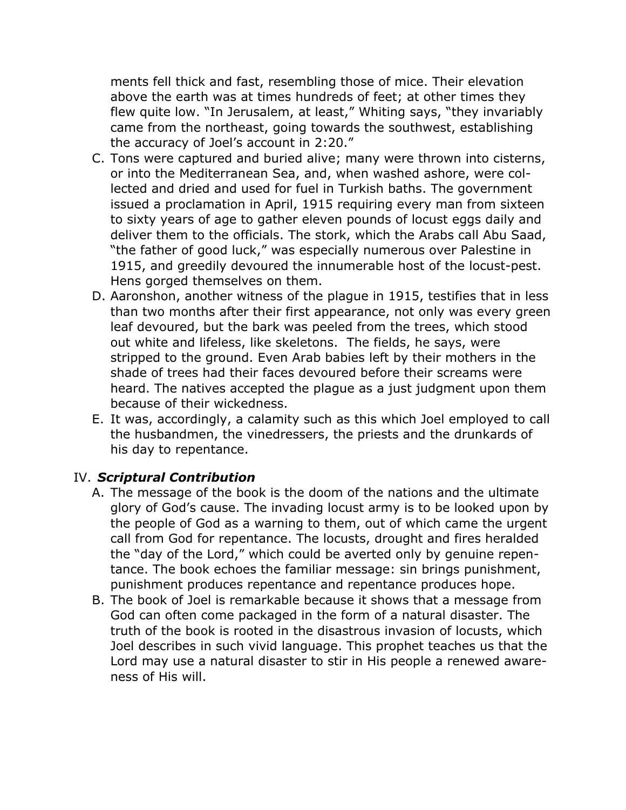ments fell thick and fast, resembling those of mice. Their elevation above the earth was at times hundreds of feet; at other times they flew quite low. "In Jerusalem, at least," Whiting says, "they invariably came from the northeast, going towards the southwest, establishing the accuracy of Joel's account in 2:20."

- C. Tons were captured and buried alive; many were thrown into cisterns, or into the Mediterranean Sea, and, when washed ashore, were collected and dried and used for fuel in Turkish baths. The government issued a proclamation in April, 1915 requiring every man from sixteen to sixty years of age to gather eleven pounds of locust eggs daily and deliver them to the officials. The stork, which the Arabs call Abu Saad, "the father of good luck," was especially numerous over Palestine in 1915, and greedily devoured the innumerable host of the locust-pest. Hens gorged themselves on them.
- D. Aaronshon, another witness of the plague in 1915, testifies that in less than two months after their first appearance, not only was every green leaf devoured, but the bark was peeled from the trees, which stood out white and lifeless, like skeletons. The fields, he says, were stripped to the ground. Even Arab babies left by their mothers in the shade of trees had their faces devoured before their screams were heard. The natives accepted the plague as a just judgment upon them because of their wickedness.
- E. It was, accordingly, a calamity such as this which Joel employed to call the husbandmen, the vinedressers, the priests and the drunkards of his day to repentance.

#### IV. *Scriptural Contribution*

- A. The message of the book is the doom of the nations and the ultimate glory of God's cause. The invading locust army is to be looked upon by the people of God as a warning to them, out of which came the urgent call from God for repentance. The locusts, drought and fires heralded the "day of the Lord," which could be averted only by genuine repentance. The book echoes the familiar message: sin brings punishment, punishment produces repentance and repentance produces hope.
- B. The book of Joel is remarkable because it shows that a message from God can often come packaged in the form of a natural disaster. The truth of the book is rooted in the disastrous invasion of locusts, which Joel describes in such vivid language. This prophet teaches us that the Lord may use a natural disaster to stir in His people a renewed awareness of His will.